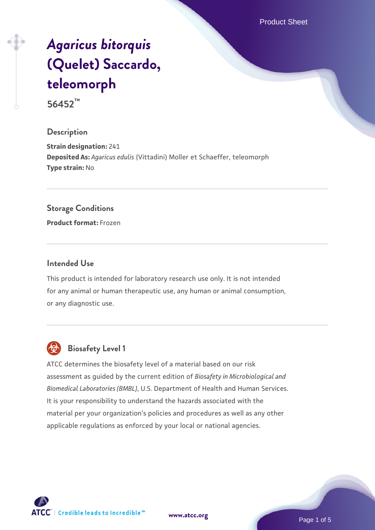Product Sheet

# *[Agaricus bitorquis](https://www.atcc.org/products/56452)* **[\(Quelet\) Saccardo,](https://www.atcc.org/products/56452) [teleomorph](https://www.atcc.org/products/56452)**

**56452™**

# **Description**

**Strain designation:** 241 **Deposited As:** *Agaricus edulis* (Vittadini) Moller et Schaeffer, teleomorph **Type strain:** No

#### **Storage Conditions**

**Product format:** Frozen

#### **Intended Use**

This product is intended for laboratory research use only. It is not intended for any animal or human therapeutic use, any human or animal consumption, or any diagnostic use.



# **Biosafety Level 1**

ATCC determines the biosafety level of a material based on our risk assessment as guided by the current edition of *Biosafety in Microbiological and Biomedical Laboratories (BMBL)*, U.S. Department of Health and Human Services. It is your responsibility to understand the hazards associated with the material per your organization's policies and procedures as well as any other applicable regulations as enforced by your local or national agencies.

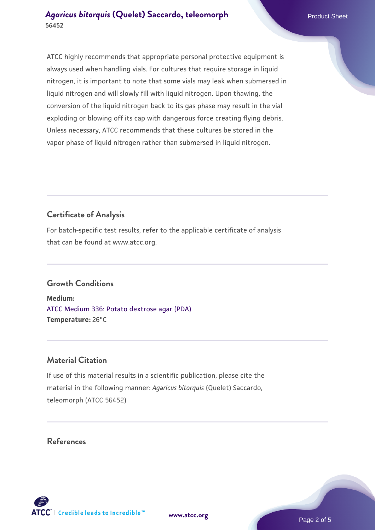ATCC highly recommends that appropriate personal protective equipment is always used when handling vials. For cultures that require storage in liquid nitrogen, it is important to note that some vials may leak when submersed in liquid nitrogen and will slowly fill with liquid nitrogen. Upon thawing, the conversion of the liquid nitrogen back to its gas phase may result in the vial exploding or blowing off its cap with dangerous force creating flying debris. Unless necessary, ATCC recommends that these cultures be stored in the vapor phase of liquid nitrogen rather than submersed in liquid nitrogen.

# **Certificate of Analysis**

For batch-specific test results, refer to the applicable certificate of analysis that can be found at www.atcc.org.

# **Growth Conditions**

**Medium:**  [ATCC Medium 336: Potato dextrose agar \(PDA\)](https://www.atcc.org/-/media/product-assets/documents/microbial-media-formulations/3/3/6/atcc-medium-336.pdf?rev=d9160ad44d934cd8b65175461abbf3b9) **Temperature:** 26°C

# **Material Citation**

If use of this material results in a scientific publication, please cite the material in the following manner: *Agaricus bitorquis* (Quelet) Saccardo, teleomorph (ATCC 56452)

# **References**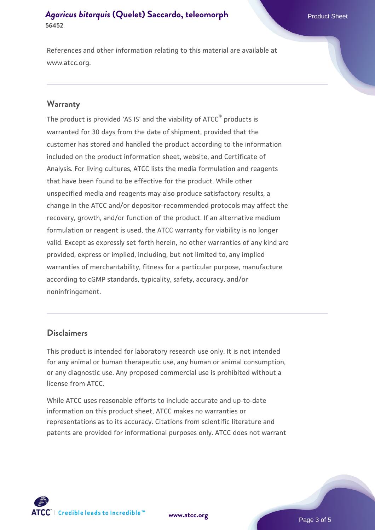#### **[Agaricus bitorquis](https://www.atcc.org/products/56452) [\(Quelet\) Saccardo, teleomorph](https://www.atcc.org/products/56452)** Product Sheet **56452**

References and other information relating to this material are available at www.atcc.org.

#### **Warranty**

The product is provided 'AS IS' and the viability of ATCC® products is warranted for 30 days from the date of shipment, provided that the customer has stored and handled the product according to the information included on the product information sheet, website, and Certificate of Analysis. For living cultures, ATCC lists the media formulation and reagents that have been found to be effective for the product. While other unspecified media and reagents may also produce satisfactory results, a change in the ATCC and/or depositor-recommended protocols may affect the recovery, growth, and/or function of the product. If an alternative medium formulation or reagent is used, the ATCC warranty for viability is no longer valid. Except as expressly set forth herein, no other warranties of any kind are provided, express or implied, including, but not limited to, any implied warranties of merchantability, fitness for a particular purpose, manufacture according to cGMP standards, typicality, safety, accuracy, and/or noninfringement.

#### **Disclaimers**

This product is intended for laboratory research use only. It is not intended for any animal or human therapeutic use, any human or animal consumption, or any diagnostic use. Any proposed commercial use is prohibited without a license from ATCC.

While ATCC uses reasonable efforts to include accurate and up-to-date information on this product sheet, ATCC makes no warranties or representations as to its accuracy. Citations from scientific literature and patents are provided for informational purposes only. ATCC does not warrant



**[www.atcc.org](http://www.atcc.org)**

Page 3 of 5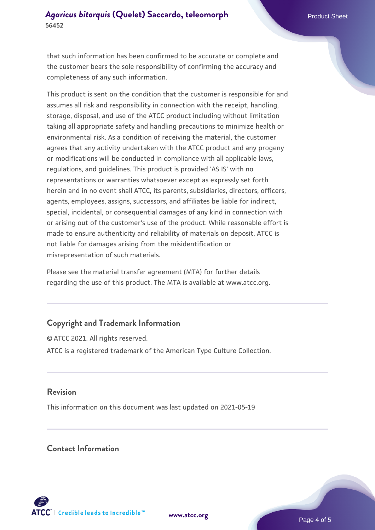#### **[Agaricus bitorquis](https://www.atcc.org/products/56452) [\(Quelet\) Saccardo, teleomorph](https://www.atcc.org/products/56452)** Product Sheet **56452**

that such information has been confirmed to be accurate or complete and the customer bears the sole responsibility of confirming the accuracy and completeness of any such information.

This product is sent on the condition that the customer is responsible for and assumes all risk and responsibility in connection with the receipt, handling, storage, disposal, and use of the ATCC product including without limitation taking all appropriate safety and handling precautions to minimize health or environmental risk. As a condition of receiving the material, the customer agrees that any activity undertaken with the ATCC product and any progeny or modifications will be conducted in compliance with all applicable laws, regulations, and guidelines. This product is provided 'AS IS' with no representations or warranties whatsoever except as expressly set forth herein and in no event shall ATCC, its parents, subsidiaries, directors, officers, agents, employees, assigns, successors, and affiliates be liable for indirect, special, incidental, or consequential damages of any kind in connection with or arising out of the customer's use of the product. While reasonable effort is made to ensure authenticity and reliability of materials on deposit, ATCC is not liable for damages arising from the misidentification or misrepresentation of such materials.

Please see the material transfer agreement (MTA) for further details regarding the use of this product. The MTA is available at www.atcc.org.

# **Copyright and Trademark Information**

© ATCC 2021. All rights reserved. ATCC is a registered trademark of the American Type Culture Collection.

#### **Revision**

This information on this document was last updated on 2021-05-19

#### **Contact Information**



**[www.atcc.org](http://www.atcc.org)**

Page 4 of 5